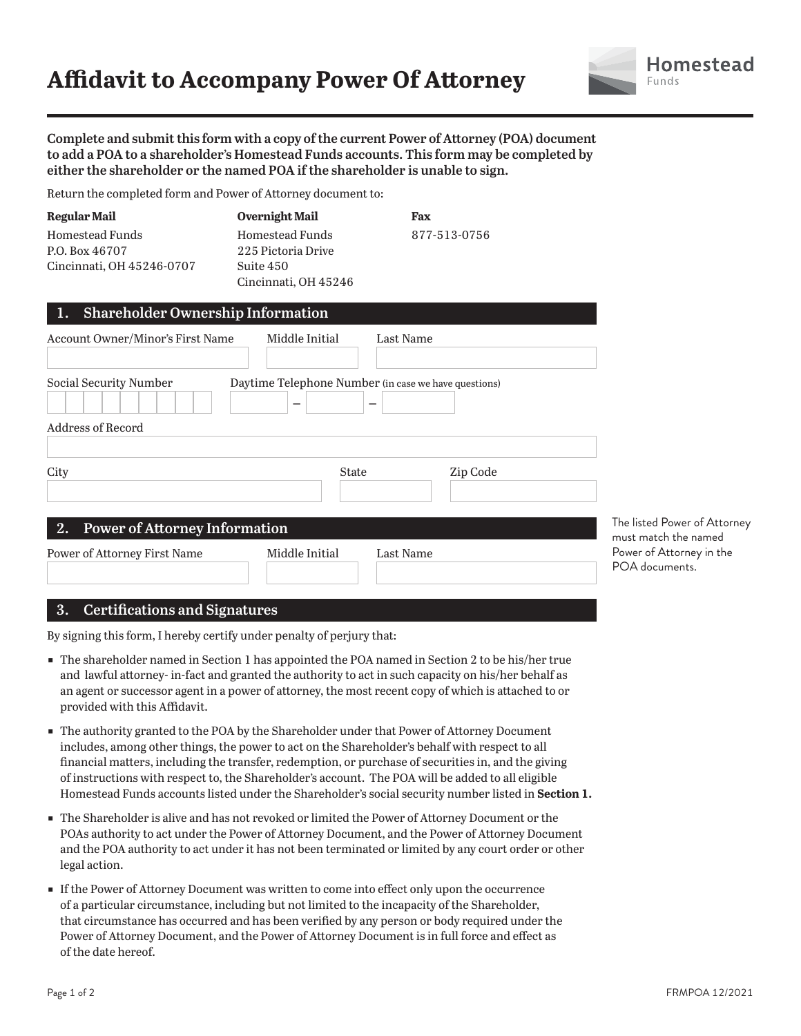# **Affidavit to Accompany Power Of Attorney**



**Complete and submit this form with a copy of the current Power of Attorney (POA) document to add a POA to a shareholder's Homestead Funds accounts. This form may be completed by either the shareholder or the named POA if the shareholder is unable to sign.**

Return the completed form and Power of Attorney document to:

| <b>Regular Mail</b>       | <b>Overnight Mail</b> | Fax          |  |
|---------------------------|-----------------------|--------------|--|
| Homestead Funds           | Homestead Funds       | 877-513-0756 |  |
| P.O. Box 46707            | 225 Pictoria Drive    |              |  |
| Cincinnati, OH 45246-0707 | Suite 450             |              |  |
|                           | Cincinnati, OH 45246  |              |  |

| <b>Account Owner/Minor's First Name</b>    | Middle Initial                                       | Last Name |          |
|--------------------------------------------|------------------------------------------------------|-----------|----------|
| Social Security Number                     | Daytime Telephone Number (in case we have questions) |           |          |
| Address of Record                          |                                                      |           |          |
| City                                       | <b>State</b>                                         |           | Zip Code |
| <b>Power of Attorney Information</b><br>2. |                                                      |           |          |
| <b>Power of Attorney First Name</b>        | Middle Initial                                       | Last Name |          |

The listed Power of Attorney must match the named Power of Attorney in the POA documents.

#### **3. Certifications and Signatures**

By signing this form, I hereby certify under penalty of perjury that:

- The shareholder named in Section 1 has appointed the POA named in Section 2 to be his/her true and lawful attorney- in-fact and granted the authority to act in such capacity on his/her behalf as an agent or successor agent in a power of attorney, the most recent copy of which is attached to or provided with this Affidavit.
- The authority granted to the POA by the Shareholder under that Power of Attorney Document includes, among other things, the power to act on the Shareholder's behalf with respect to all financial matters, including the transfer, redemption, or purchase of securities in, and the giving of instructions with respect to, the Shareholder's account. The POA will be added to all eligible Homestead Funds accounts listed under the Shareholder's social security number listed in **Section 1.**
- The Shareholder is alive and has not revoked or limited the Power of Attorney Document or the POAs authority to act under the Power of Attorney Document, and the Power of Attorney Document and the POA authority to act under it has not been terminated or limited by any court order or other legal action.
- ɕ If the Power of Attorney Document was written to come into effect only upon the occurrence of a particular circumstance, including but not limited to the incapacity of the Shareholder, that circumstance has occurred and has been verified by any person or body required under the Power of Attorney Document, and the Power of Attorney Document is in full force and effect as of the date hereof.